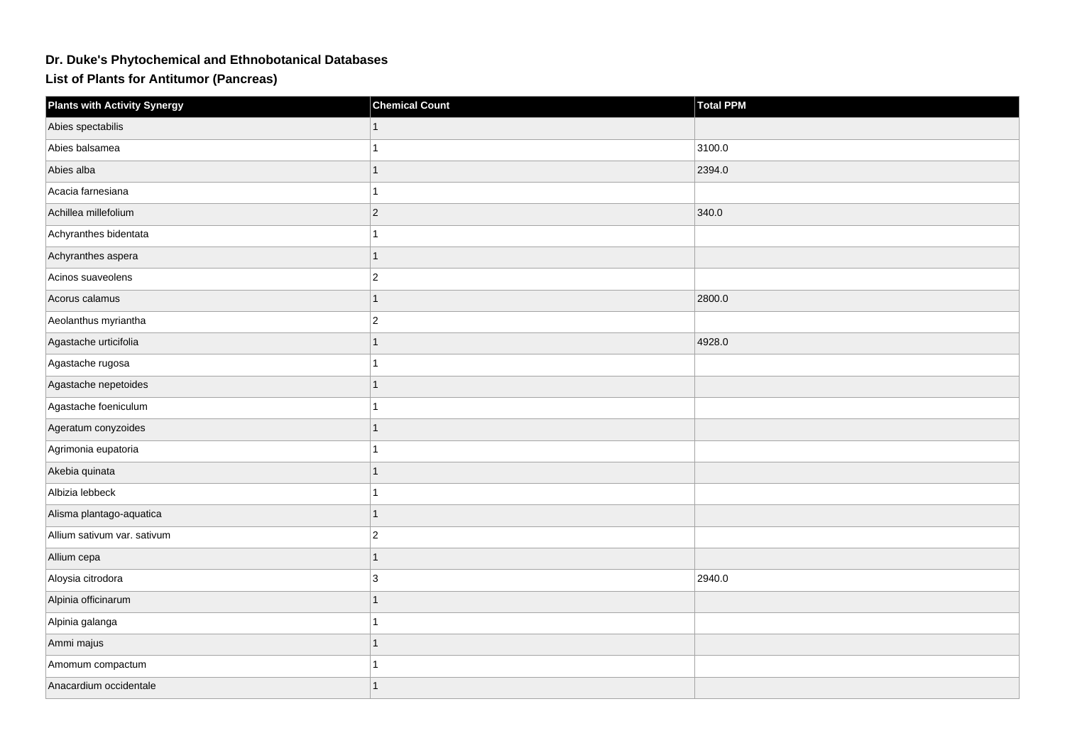## **Dr. Duke's Phytochemical and Ethnobotanical Databases**

**List of Plants for Antitumor (Pancreas)**

| <b>Plants with Activity Synergy</b> | <b>Chemical Count</b> | Total PPM |
|-------------------------------------|-----------------------|-----------|
| Abies spectabilis                   |                       |           |
| Abies balsamea                      | 1                     | 3100.0    |
| Abies alba                          | 1                     | 2394.0    |
| Acacia farnesiana                   | 1                     |           |
| Achillea millefolium                | $ 2\rangle$           | 340.0     |
| Achyranthes bidentata               | 1                     |           |
| Achyranthes aspera                  | 1                     |           |
| Acinos suaveolens                   | $\overline{2}$        |           |
| Acorus calamus                      | $\mathbf{1}$          | 2800.0    |
| Aeolanthus myriantha                | $ 2\rangle$           |           |
| Agastache urticifolia               | $\mathbf{1}$          | 4928.0    |
| Agastache rugosa                    | 1                     |           |
| Agastache nepetoides                |                       |           |
| Agastache foeniculum                | 1                     |           |
| Ageratum conyzoides                 | 1                     |           |
| Agrimonia eupatoria                 | 1                     |           |
| Akebia quinata                      | $\mathbf{1}$          |           |
| Albizia lebbeck                     | 1                     |           |
| Alisma plantago-aquatica            | $\mathbf{1}$          |           |
| Allium sativum var. sativum         | $\overline{2}$        |           |
| Allium cepa                         | 1                     |           |
| Aloysia citrodora                   | 3                     | 2940.0    |
| Alpinia officinarum                 | 1                     |           |
| Alpinia galanga                     | 1                     |           |
| Ammi majus                          | 1                     |           |
| Amomum compactum                    |                       |           |
| Anacardium occidentale              | 1                     |           |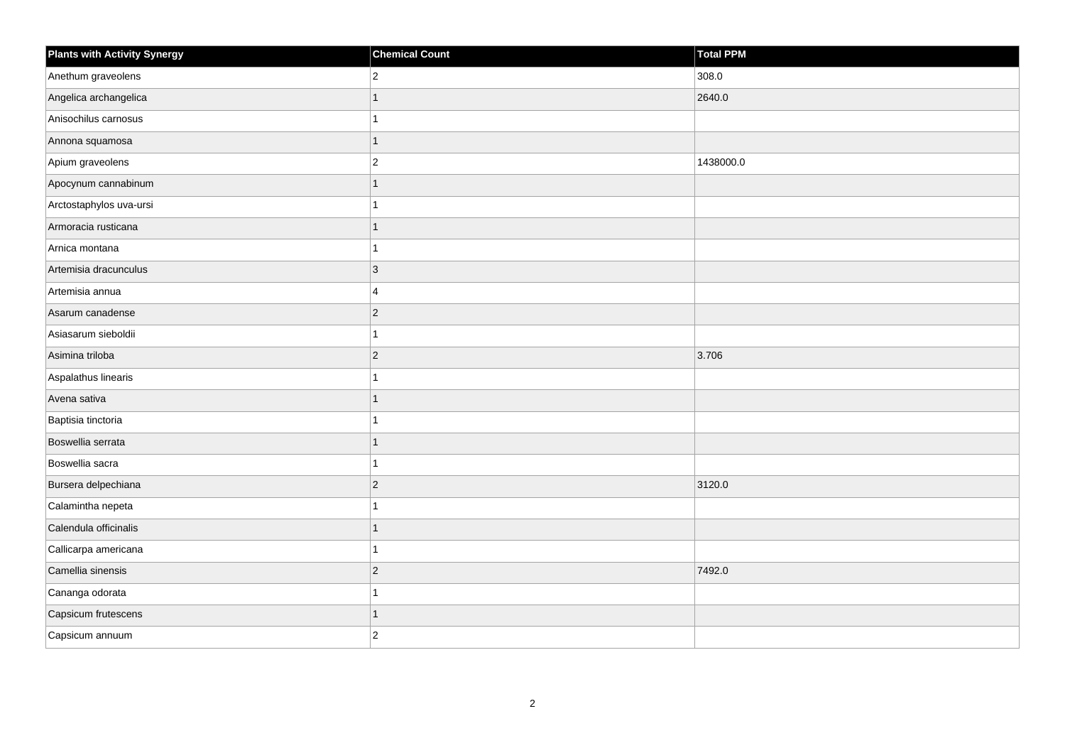| <b>Plants with Activity Synergy</b> | <b>Chemical Count</b>   | Total PPM |
|-------------------------------------|-------------------------|-----------|
| Anethum graveolens                  | $\overline{2}$          | 308.0     |
| Angelica archangelica               | $\overline{1}$          | 2640.0    |
| Anisochilus carnosus                | 1                       |           |
| Annona squamosa                     | $\mathbf{1}$            |           |
| Apium graveolens                    | $\overline{\mathbf{c}}$ | 1438000.0 |
| Apocynum cannabinum                 | 1                       |           |
| Arctostaphylos uva-ursi             | 1                       |           |
| Armoracia rusticana                 | $\overline{1}$          |           |
| Arnica montana                      | 1                       |           |
| Artemisia dracunculus               | 3                       |           |
| Artemisia annua                     | 4                       |           |
| Asarum canadense                    | $\overline{c}$          |           |
| Asiasarum sieboldii                 | 1                       |           |
| Asimina triloba                     | $\overline{c}$          | 3.706     |
| Aspalathus linearis                 | $\overline{1}$          |           |
| Avena sativa                        | $\overline{1}$          |           |
| Baptisia tinctoria                  | 1                       |           |
| Boswellia serrata                   | $\overline{1}$          |           |
| Boswellia sacra                     | $\overline{1}$          |           |
| Bursera delpechiana                 | $\overline{c}$          | 3120.0    |
| Calamintha nepeta                   | $\overline{ }$          |           |
| Calendula officinalis               | $\mathbf{1}$            |           |
| Callicarpa americana                | 1                       |           |
| Camellia sinensis                   | $\overline{2}$          | 7492.0    |
| Cananga odorata                     | 1                       |           |
| Capsicum frutescens                 | 1                       |           |
| Capsicum annuum                     | $\overline{2}$          |           |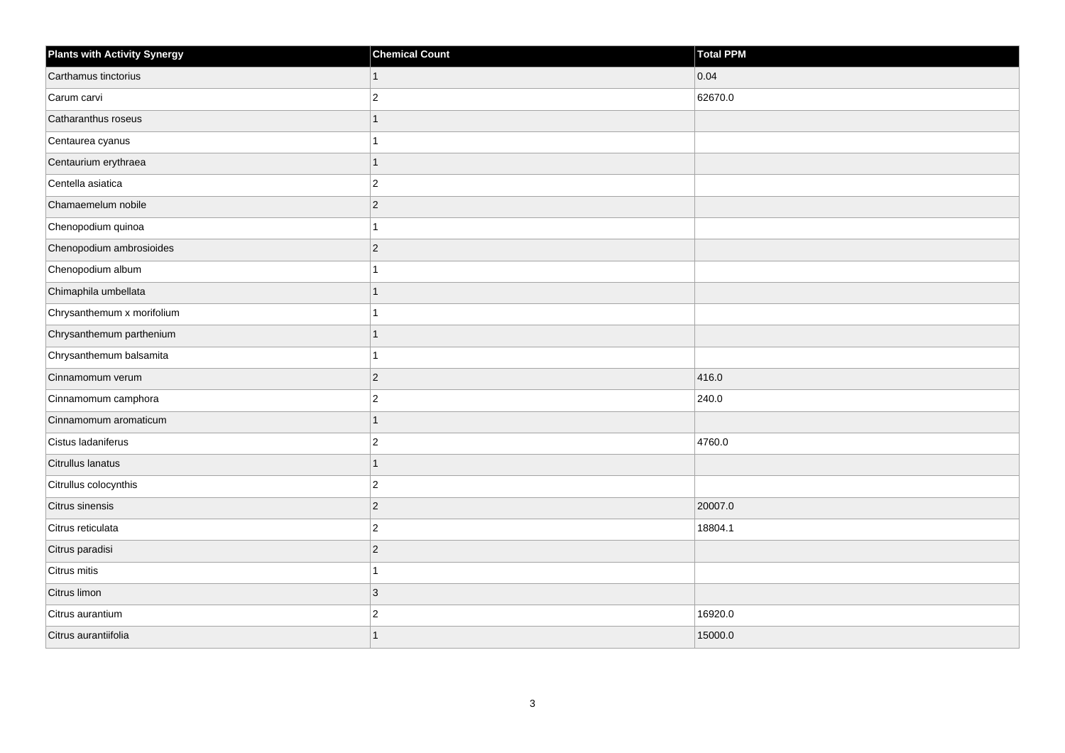| <b>Plants with Activity Synergy</b> | <b>Chemical Count</b>   | Total PPM |
|-------------------------------------|-------------------------|-----------|
| Carthamus tinctorius                | 1                       | 0.04      |
| Carum carvi                         | $\overline{2}$          | 62670.0   |
| Catharanthus roseus                 | 1                       |           |
| Centaurea cyanus                    | 1                       |           |
| Centaurium erythraea                | 1                       |           |
| Centella asiatica                   | $\overline{\mathbf{c}}$ |           |
| Chamaemelum nobile                  | $\vert$ 2               |           |
| Chenopodium quinoa                  | 1                       |           |
| Chenopodium ambrosioides            | $\vert$ 2               |           |
| Chenopodium album                   | 1                       |           |
| Chimaphila umbellata                | 1                       |           |
| Chrysanthemum x morifolium          | 1                       |           |
| Chrysanthemum parthenium            | 1                       |           |
| Chrysanthemum balsamita             | 1                       |           |
| Cinnamomum verum                    | $\vert$ 2               | 416.0     |
| Cinnamomum camphora                 | $\vert$ 2               | 240.0     |
| Cinnamomum aromaticum               | 1                       |           |
| Cistus ladaniferus                  | $\overline{c}$          | 4760.0    |
| Citrullus lanatus                   | $\mathbf{1}$            |           |
| Citrullus colocynthis               | $\overline{c}$          |           |
| Citrus sinensis                     | $\vert$ 2               | 20007.0   |
| Citrus reticulata                   | $\vert$ 2               | 18804.1   |
| Citrus paradisi                     | $\overline{c}$          |           |
| Citrus mitis                        | 1                       |           |
| Citrus limon                        | $ 3\rangle$             |           |
| Citrus aurantium                    | $\overline{\mathbf{c}}$ | 16920.0   |
| Citrus aurantiifolia                |                         | 15000.0   |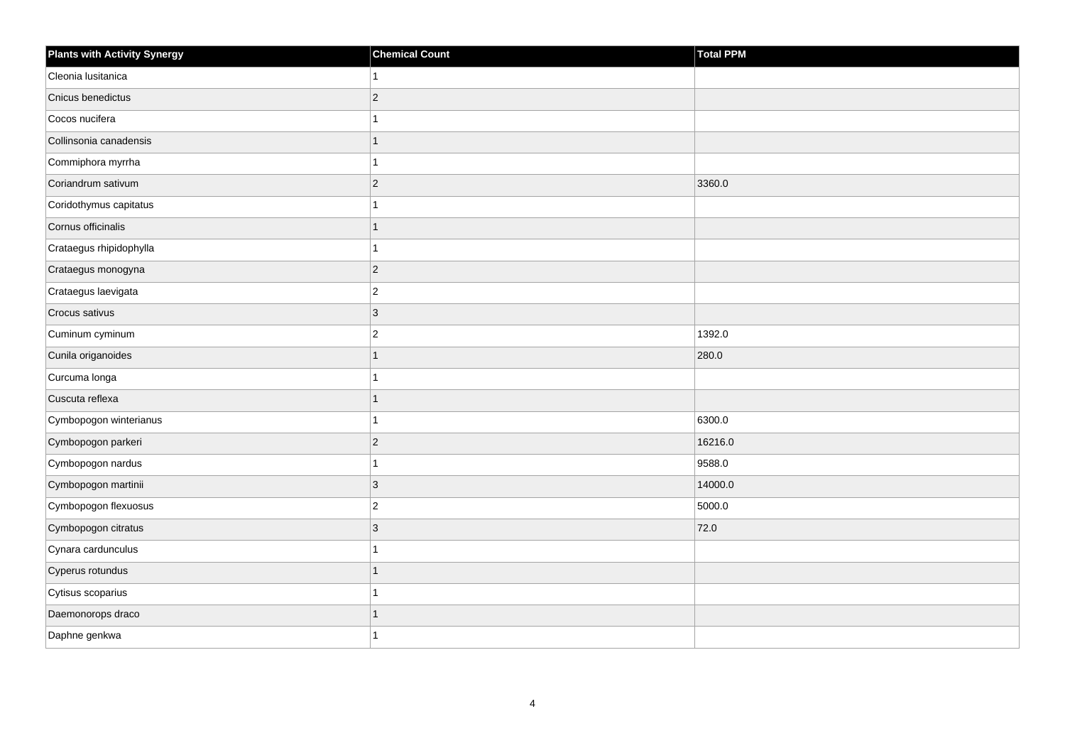| <b>Plants with Activity Synergy</b> | <b>Chemical Count</b> | Total PPM |
|-------------------------------------|-----------------------|-----------|
| Cleonia lusitanica                  |                       |           |
| Cnicus benedictus                   | $\overline{2}$        |           |
| Cocos nucifera                      |                       |           |
| Collinsonia canadensis              |                       |           |
| Commiphora myrrha                   |                       |           |
| Coriandrum sativum                  | $\overline{2}$        | 3360.0    |
| Coridothymus capitatus              |                       |           |
| Cornus officinalis                  |                       |           |
| Crataegus rhipidophylla             |                       |           |
| Crataegus monogyna                  | $\overline{2}$        |           |
| Crataegus laevigata                 | $\overline{2}$        |           |
| Crocus sativus                      | 3                     |           |
| Cuminum cyminum                     | $\overline{a}$        | 1392.0    |
| Cunila origanoides                  | 1                     | 280.0     |
| Curcuma longa                       |                       |           |
| Cuscuta reflexa                     | 1                     |           |
| Cymbopogon winterianus              |                       | 6300.0    |
| Cymbopogon parkeri                  | $\overline{2}$        | 16216.0   |
| Cymbopogon nardus                   | 1                     | 9588.0    |
| Cymbopogon martinii                 | $\overline{3}$        | 14000.0   |
| Cymbopogon flexuosus                | $\overline{c}$        | 5000.0    |
| Cymbopogon citratus                 | $\overline{3}$        | 72.0      |
| Cynara cardunculus                  |                       |           |
| Cyperus rotundus                    |                       |           |
| Cytisus scoparius                   |                       |           |
| Daemonorops draco                   |                       |           |
| Daphne genkwa                       |                       |           |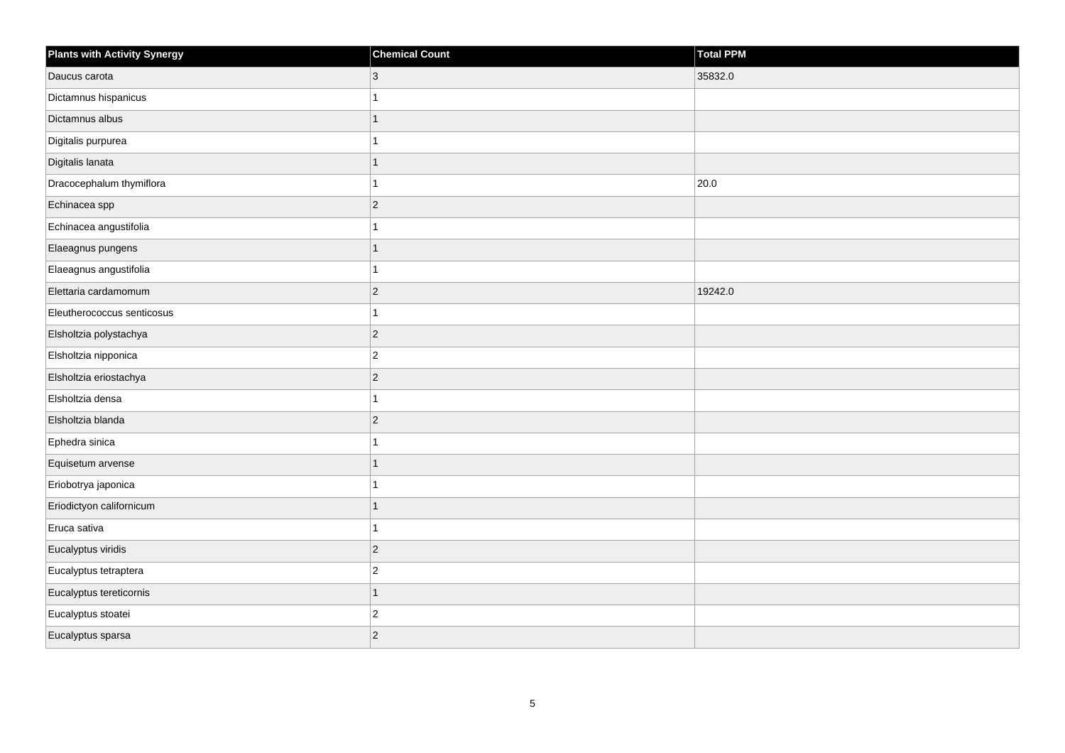| <b>Plants with Activity Synergy</b> | <b>Chemical Count</b>   | <b>Total PPM</b> |
|-------------------------------------|-------------------------|------------------|
| Daucus carota                       | 3                       | 35832.0          |
| Dictamnus hispanicus                |                         |                  |
| Dictamnus albus                     | $\overline{1}$          |                  |
| Digitalis purpurea                  | 1                       |                  |
| Digitalis lanata                    | 1                       |                  |
| Dracocephalum thymiflora            | 1                       | 20.0             |
| Echinacea spp                       | $\overline{c}$          |                  |
| Echinacea angustifolia              |                         |                  |
| Elaeagnus pungens                   | $\overline{1}$          |                  |
| Elaeagnus angustifolia              | 1                       |                  |
| Elettaria cardamomum                | $\overline{c}$          | 19242.0          |
| Eleutherococcus senticosus          | 1                       |                  |
| Elsholtzia polystachya              | $\overline{c}$          |                  |
| Elsholtzia nipponica                | $\overline{\mathbf{c}}$ |                  |
| Elsholtzia eriostachya              | $\overline{c}$          |                  |
| Elsholtzia densa                    | 1                       |                  |
| Elsholtzia blanda                   | $\overline{c}$          |                  |
| Ephedra sinica                      | 1                       |                  |
| Equisetum arvense                   | $\overline{1}$          |                  |
| Eriobotrya japonica                 | 1                       |                  |
| Eriodictyon californicum            | 1                       |                  |
| Eruca sativa                        | 1                       |                  |
| Eucalyptus viridis                  | $\overline{c}$          |                  |
| Eucalyptus tetraptera               | $\overline{c}$          |                  |
| Eucalyptus tereticornis             | $\overline{1}$          |                  |
| Eucalyptus stoatei                  | $\overline{c}$          |                  |
| Eucalyptus sparsa                   | $\overline{2}$          |                  |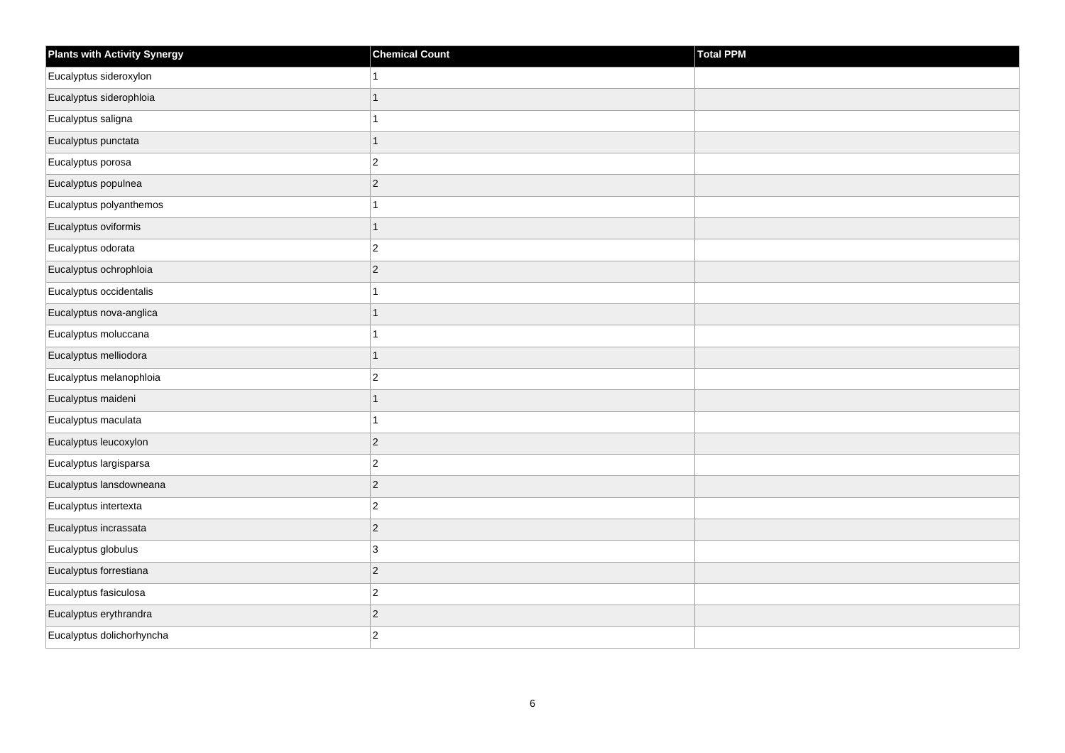| <b>Plants with Activity Synergy</b> | <b>Chemical Count</b> | Total PPM |
|-------------------------------------|-----------------------|-----------|
| Eucalyptus sideroxylon              | $\mathbf{1}$          |           |
| Eucalyptus siderophloia             | $\mathbf{1}$          |           |
| Eucalyptus saligna                  | $\mathbf{1}$          |           |
| Eucalyptus punctata                 | $\mathbf{1}$          |           |
| Eucalyptus porosa                   | $\mathbf 2$           |           |
| Eucalyptus populnea                 | $\mathbf 2$           |           |
| Eucalyptus polyanthemos             | $\mathbf{1}$          |           |
| Eucalyptus oviformis                | $\mathbf{1}$          |           |
| Eucalyptus odorata                  | $\mathbf 2$           |           |
| Eucalyptus ochrophloia              | $\vert$ 2             |           |
| Eucalyptus occidentalis             | $\mathbf{1}$          |           |
| Eucalyptus nova-anglica             | $\mathbf{1}$          |           |
| Eucalyptus moluccana                | $\mathbf{1}$          |           |
| Eucalyptus melliodora               | $\mathbf{1}$          |           |
| Eucalyptus melanophloia             | $\mathbf 2$           |           |
| Eucalyptus maideni                  | $\mathbf{1}$          |           |
| Eucalyptus maculata                 | $\mathbf{1}$          |           |
| Eucalyptus leucoxylon               | $\vert$ 2             |           |
| Eucalyptus largisparsa              | $\overline{c}$        |           |
| Eucalyptus lansdowneana             | $\overline{c}$        |           |
| Eucalyptus intertexta               | $\mathbf 2$           |           |
| Eucalyptus incrassata               | $\mathbf 2$           |           |
| Eucalyptus globulus                 | 3                     |           |
| Eucalyptus forrestiana              | $\vert$ 2             |           |
| Eucalyptus fasiculosa               | $\mathbf 2$           |           |
| Eucalyptus erythrandra              | $\mathbf 2$           |           |
| Eucalyptus dolichorhyncha           | $\overline{2}$        |           |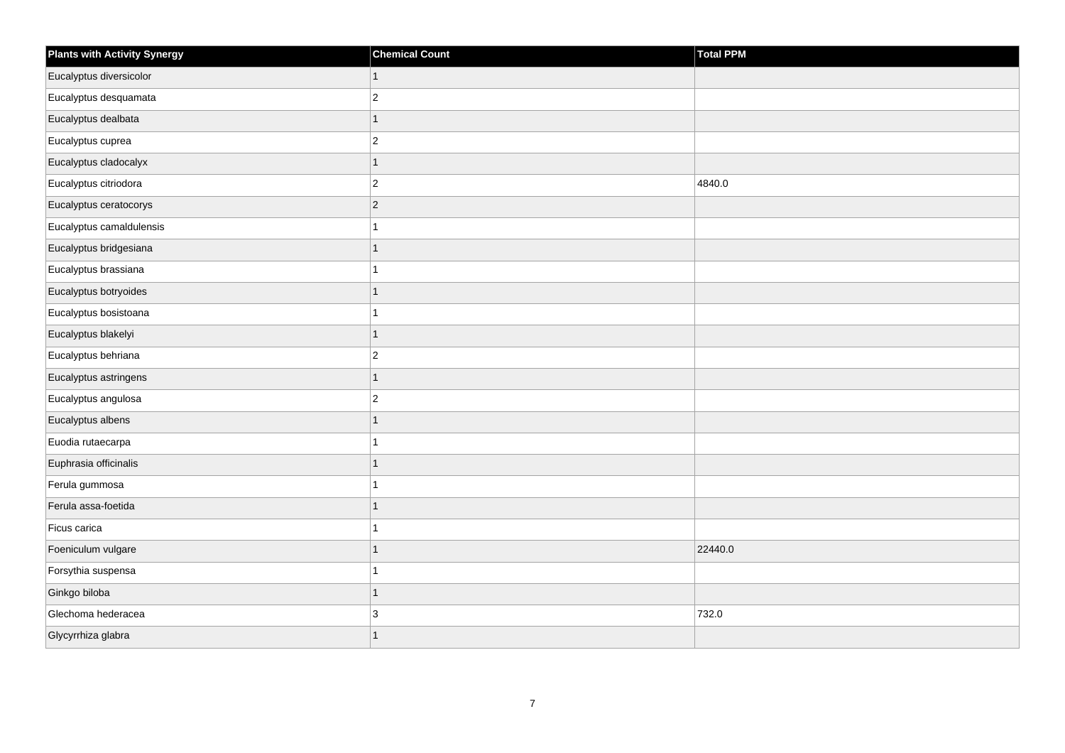| <b>Plants with Activity Synergy</b> | <b>Chemical Count</b> | Total PPM |
|-------------------------------------|-----------------------|-----------|
| Eucalyptus diversicolor             | $\mathbf{1}$          |           |
| Eucalyptus desquamata               | $\mathbf 2$           |           |
| Eucalyptus dealbata                 | $\mathbf{1}$          |           |
| Eucalyptus cuprea                   | $\overline{c}$        |           |
| Eucalyptus cladocalyx               | $\overline{1}$        |           |
| Eucalyptus citriodora               | $\mathbf 2$           | 4840.0    |
| Eucalyptus ceratocorys              | $\vert$ <sub>2</sub>  |           |
| Eucalyptus camaldulensis            | 1                     |           |
| Eucalyptus bridgesiana              | $\mathbf{1}$          |           |
| Eucalyptus brassiana                | $\mathbf{1}$          |           |
| Eucalyptus botryoides               | $\mathbf{1}$          |           |
| Eucalyptus bosistoana               | $\mathbf{1}$          |           |
| Eucalyptus blakelyi                 | $\mathbf{1}$          |           |
| Eucalyptus behriana                 | $\mathbf 2$           |           |
| Eucalyptus astringens               | $\mathbf{1}$          |           |
| Eucalyptus angulosa                 | $\overline{c}$        |           |
| Eucalyptus albens                   | $\mathbf{1}$          |           |
| Euodia rutaecarpa                   | $\mathbf{1}$          |           |
| Euphrasia officinalis               | $\mathbf{1}$          |           |
| Ferula gummosa                      | $\mathbf{1}$          |           |
| Ferula assa-foetida                 | $\mathbf{1}$          |           |
| Ficus carica                        | $\mathbf{1}$          |           |
| Foeniculum vulgare                  | $\overline{1}$        | 22440.0   |
| Forsythia suspensa                  | $\mathbf{1}$          |           |
| Ginkgo biloba                       | $\mathbf{1}$          |           |
| Glechoma hederacea                  | $\mathbf{3}$          | 732.0     |
| Glycyrrhiza glabra                  | $\overline{1}$        |           |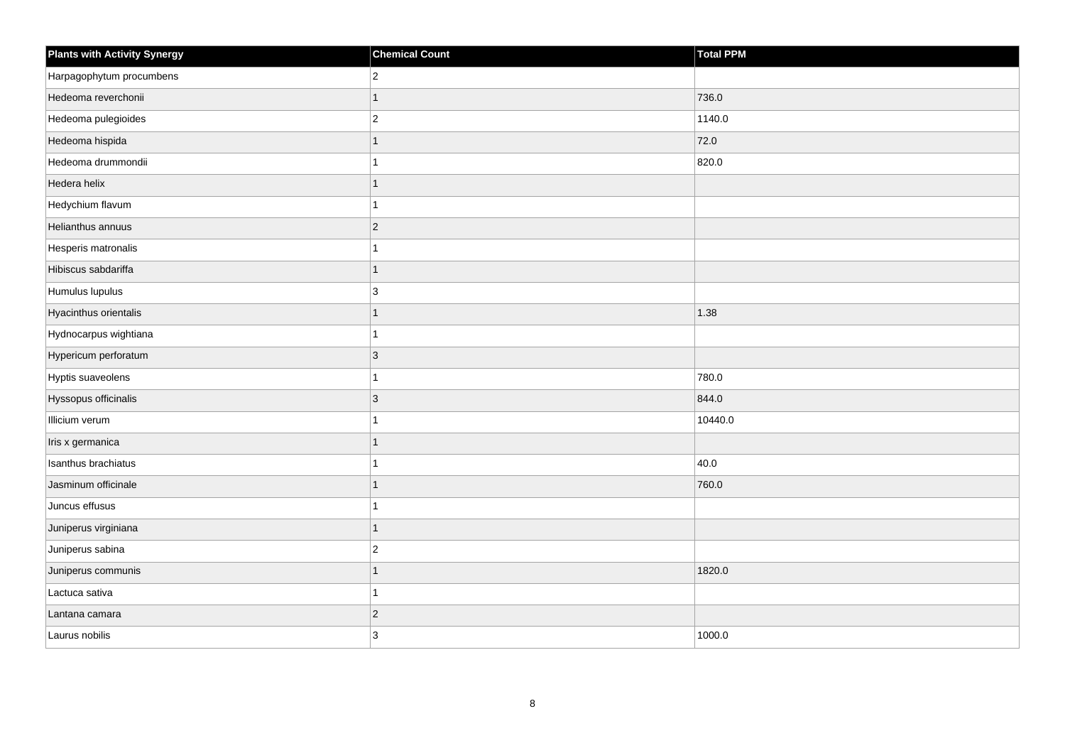| Plants with Activity Synergy | <b>Chemical Count</b> | Total PPM |
|------------------------------|-----------------------|-----------|
| Harpagophytum procumbens     | $\overline{2}$        |           |
| Hedeoma reverchonii          | 1                     | 736.0     |
| Hedeoma pulegioides          | $ 2\rangle$           | 1140.0    |
| Hedeoma hispida              | 1                     | 72.0      |
| Hedeoma drummondii           | 1                     | 820.0     |
| Hedera helix                 | $\mathbf{1}$          |           |
| Hedychium flavum             | 1                     |           |
| Helianthus annuus            | $ 2\rangle$           |           |
| Hesperis matronalis          | $\mathbf{1}$          |           |
| Hibiscus sabdariffa          | $\mathbf{1}$          |           |
| Humulus lupulus              | 3                     |           |
| Hyacinthus orientalis        | $\mathbf{1}$          | 1.38      |
| Hydnocarpus wightiana        | $\overline{1}$        |           |
| Hypericum perforatum         | 3                     |           |
| Hyptis suaveolens            | 1                     | 780.0     |
| Hyssopus officinalis         | 3                     | 844.0     |
| Illicium verum               | 1                     | 10440.0   |
| Iris x germanica             | $\mathbf{1}$          |           |
| Isanthus brachiatus          | $\overline{1}$        | 40.0      |
| Jasminum officinale          | 1                     | 760.0     |
| Juncus effusus               | 1                     |           |
| Juniperus virginiana         | $\mathbf{1}$          |           |
| Juniperus sabina             | $ 2\rangle$           |           |
| Juniperus communis           | 1                     | 1820.0    |
| Lactuca sativa               | 1                     |           |
| Lantana camara               | $ 2\rangle$           |           |
| Laurus nobilis               | 3                     | 1000.0    |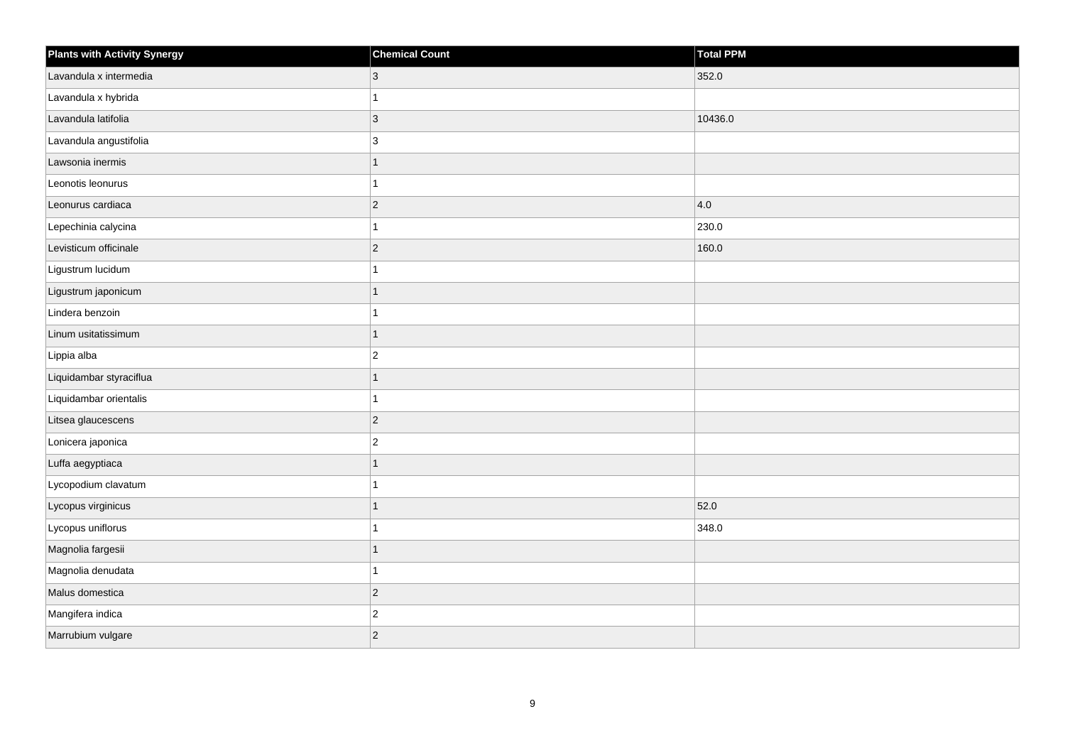| <b>Plants with Activity Synergy</b> | <b>Chemical Count</b> | Total PPM |
|-------------------------------------|-----------------------|-----------|
| Lavandula x intermedia              | 3                     | 352.0     |
| Lavandula x hybrida                 | 1                     |           |
| Lavandula latifolia                 | $ 3\rangle$           | 10436.0   |
| Lavandula angustifolia              | 3                     |           |
| Lawsonia inermis                    | 1                     |           |
| Leonotis leonurus                   | 1                     |           |
| Leonurus cardiaca                   | $ 2\rangle$           | 4.0       |
| Lepechinia calycina                 | 1                     | 230.0     |
| Levisticum officinale               | $\vert$ 2             | 160.0     |
| Ligustrum lucidum                   | 1                     |           |
| Ligustrum japonicum                 | 1                     |           |
| Lindera benzoin                     | 1                     |           |
| Linum usitatissimum                 | $\mathbf{1}$          |           |
| Lippia alba                         | $\overline{c}$        |           |
| Liquidambar styraciflua             | 1                     |           |
| Liquidambar orientalis              | 1                     |           |
| Litsea glaucescens                  | $\overline{2}$        |           |
| Lonicera japonica                   | $\mathbf 2$           |           |
| Luffa aegyptiaca                    | $\mathbf{1}$          |           |
| Lycopodium clavatum                 | 1                     |           |
| Lycopus virginicus                  | 1                     | 52.0      |
| Lycopus uniflorus                   | 1                     | 348.0     |
| Magnolia fargesii                   | 1                     |           |
| Magnolia denudata                   | 1                     |           |
| Malus domestica                     | $ 2\rangle$           |           |
| Mangifera indica                    | $\overline{c}$        |           |
| Marrubium vulgare                   | $\sqrt{2}$            |           |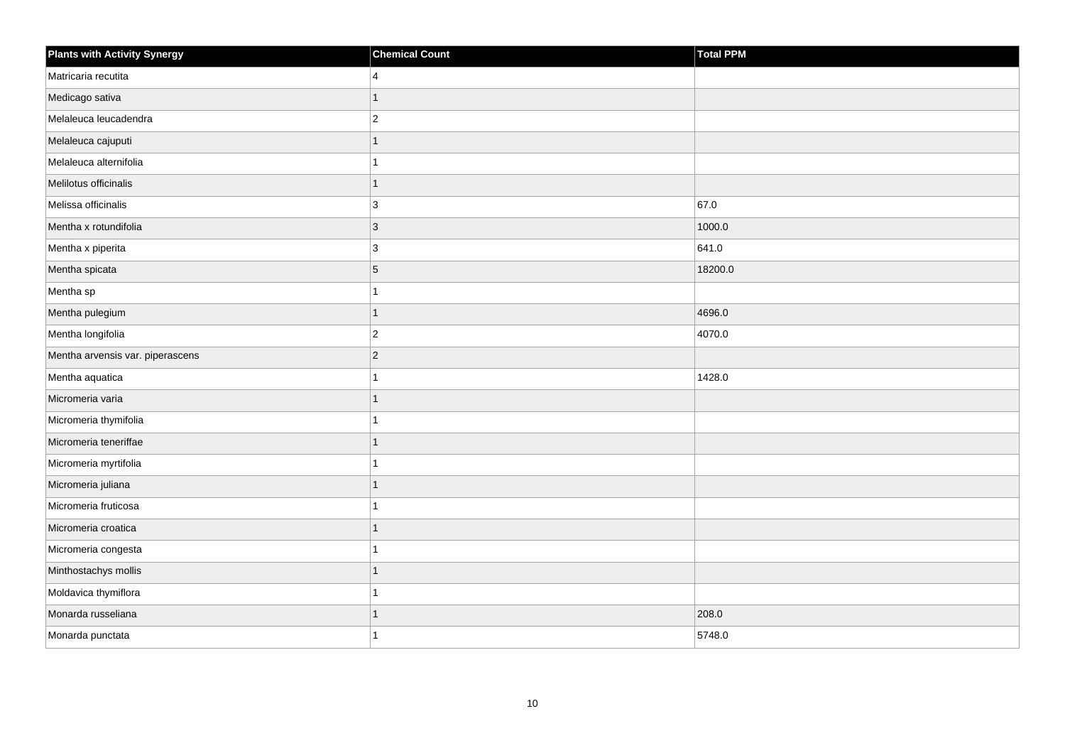| <b>Plants with Activity Synergy</b> | <b>Chemical Count</b> | Total PPM |
|-------------------------------------|-----------------------|-----------|
| Matricaria recutita                 | 4                     |           |
| Medicago sativa                     |                       |           |
| Melaleuca leucadendra               | $\overline{2}$        |           |
| Melaleuca cajuputi                  | 1                     |           |
| Melaleuca alternifolia              |                       |           |
| Melilotus officinalis               |                       |           |
| Melissa officinalis                 | 3                     | 67.0      |
| Mentha x rotundifolia               | 3                     | 1000.0    |
| Mentha x piperita                   | 3                     | 641.0     |
| Mentha spicata                      | 5                     | 18200.0   |
| Mentha sp                           |                       |           |
| Mentha pulegium                     |                       | 4696.0    |
| Mentha longifolia                   | $\overline{2}$        | 4070.0    |
| Mentha arvensis var. piperascens    | $\overline{2}$        |           |
| Mentha aquatica                     |                       | 1428.0    |
| Micromeria varia                    |                       |           |
| Micromeria thymifolia               |                       |           |
| Micromeria teneriffae               |                       |           |
| Micromeria myrtifolia               |                       |           |
| Micromeria juliana                  |                       |           |
| Micromeria fruticosa                |                       |           |
| Micromeria croatica                 |                       |           |
| Micromeria congesta                 |                       |           |
| Minthostachys mollis                |                       |           |
| Moldavica thymiflora                |                       |           |
| Monarda russeliana                  |                       | 208.0     |
| Monarda punctata                    |                       | 5748.0    |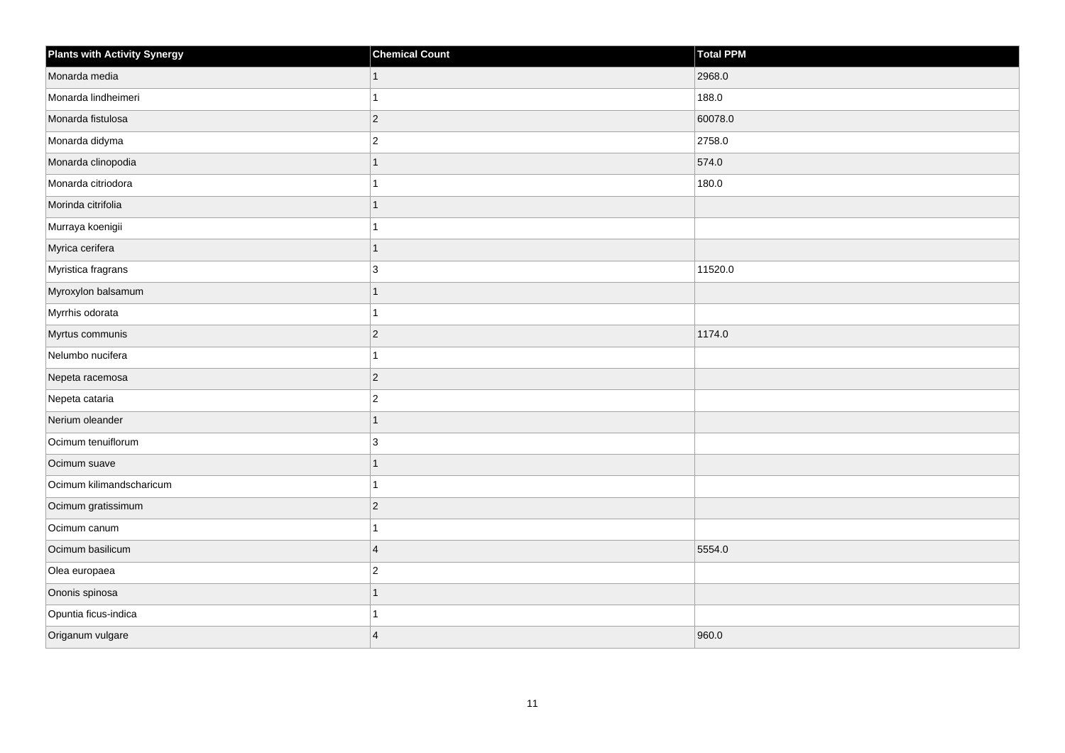| <b>Plants with Activity Synergy</b> | <b>Chemical Count</b> | <b>Total PPM</b> |
|-------------------------------------|-----------------------|------------------|
| Monarda media                       | $\mathbf{1}$          | 2968.0           |
| Monarda lindheimeri                 | 1                     | 188.0            |
| Monarda fistulosa                   | $\overline{c}$        | 60078.0          |
| Monarda didyma                      | $\overline{2}$        | 2758.0           |
| Monarda clinopodia                  | 1                     | 574.0            |
| Monarda citriodora                  | 1                     | 180.0            |
| Morinda citrifolia                  | $\mathbf{1}$          |                  |
| Murraya koenigii                    | 1                     |                  |
| Myrica cerifera                     | $\overline{1}$        |                  |
| Myristica fragrans                  | 3                     | 11520.0          |
| Myroxylon balsamum                  | 1                     |                  |
| Myrrhis odorata                     | 1                     |                  |
| Myrtus communis                     | $\overline{c}$        | 1174.0           |
| Nelumbo nucifera                    | 1                     |                  |
| Nepeta racemosa                     | $\overline{c}$        |                  |
| Nepeta cataria                      | $\overline{c}$        |                  |
| Nerium oleander                     | 1                     |                  |
| Ocimum tenuiflorum                  | 3                     |                  |
| Ocimum suave                        | $\overline{1}$        |                  |
| Ocimum kilimandscharicum            | 1                     |                  |
| Ocimum gratissimum                  | $\overline{c}$        |                  |
| Ocimum canum                        | 1                     |                  |
| Ocimum basilicum                    | $\overline{4}$        | 5554.0           |
| Olea europaea                       | $\overline{c}$        |                  |
| Ononis spinosa                      | $\overline{1}$        |                  |
| Opuntia ficus-indica                | 1                     |                  |
| Origanum vulgare                    | $\overline{4}$        | 960.0            |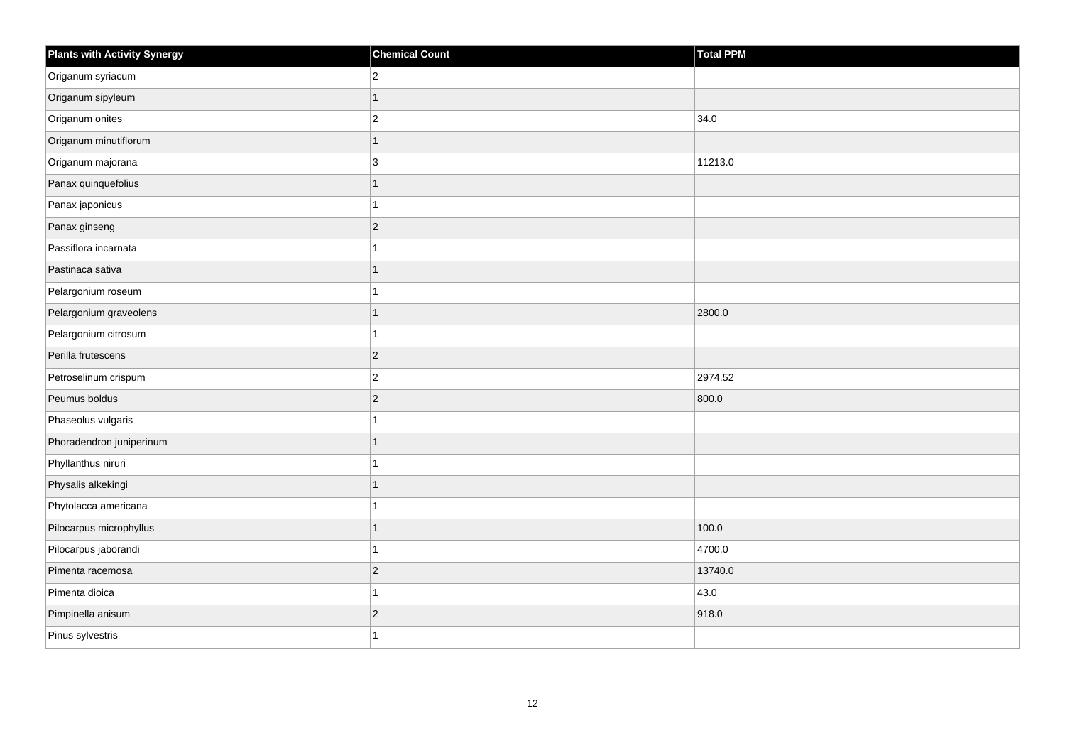| <b>Plants with Activity Synergy</b> | <b>Chemical Count</b> | <b>Total PPM</b> |
|-------------------------------------|-----------------------|------------------|
| Origanum syriacum                   | $\overline{2}$        |                  |
| Origanum sipyleum                   | 1                     |                  |
| Origanum onites                     | $\overline{2}$        | 34.0             |
| Origanum minutiflorum               | $\mathbf{1}$          |                  |
| Origanum majorana                   | 3                     | 11213.0          |
| Panax quinquefolius                 | $\overline{1}$        |                  |
| Panax japonicus                     | 1                     |                  |
| Panax ginseng                       | $\overline{2}$        |                  |
| Passiflora incarnata                | 1                     |                  |
| Pastinaca sativa                    | $\overline{1}$        |                  |
| Pelargonium roseum                  | 1                     |                  |
| Pelargonium graveolens              | $\overline{1}$        | 2800.0           |
| Pelargonium citrosum                | $\overline{1}$        |                  |
| Perilla frutescens                  | $\overline{2}$        |                  |
| Petroselinum crispum                | $\overline{2}$        | 2974.52          |
| Peumus boldus                       | $\overline{c}$        | 800.0            |
| Phaseolus vulgaris                  | 1                     |                  |
| Phoradendron juniperinum            | 1                     |                  |
| Phyllanthus niruri                  | $\overline{1}$        |                  |
| Physalis alkekingi                  | 1                     |                  |
| Phytolacca americana                |                       |                  |
| Pilocarpus microphyllus             | $\overline{1}$        | 100.0            |
| Pilocarpus jaborandi                | 1                     | 4700.0           |
| Pimenta racemosa                    | $\overline{c}$        | 13740.0          |
| Pimenta dioica                      | 1                     | 43.0             |
| Pimpinella anisum                   | $\overline{2}$        | 918.0            |
| Pinus sylvestris                    | 1                     |                  |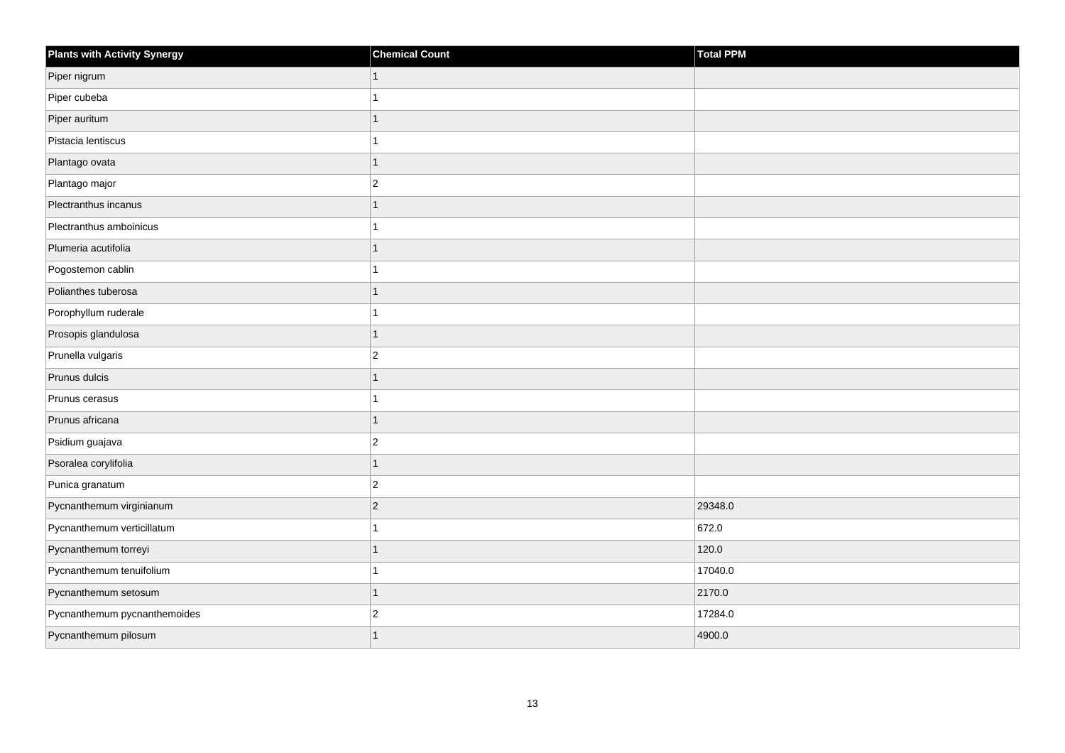| <b>Plants with Activity Synergy</b> | <b>Chemical Count</b> | Total PPM |
|-------------------------------------|-----------------------|-----------|
| Piper nigrum                        | $\mathbf{1}$          |           |
| Piper cubeba                        | 1                     |           |
| Piper auritum                       | 1                     |           |
| Pistacia lentiscus                  | 1                     |           |
| Plantago ovata                      | $\mathbf{1}$          |           |
| Plantago major                      | $ 2\rangle$           |           |
| Plectranthus incanus                | $\mathbf{1}$          |           |
| Plectranthus amboinicus             | 1                     |           |
| Plumeria acutifolia                 | $\mathbf{1}$          |           |
| Pogostemon cablin                   | 1                     |           |
| Polianthes tuberosa                 | $\mathbf{1}$          |           |
| Porophyllum ruderale                | 1                     |           |
| Prosopis glandulosa                 | $\mathbf{1}$          |           |
| Prunella vulgaris                   | $ 2\rangle$           |           |
| Prunus dulcis                       | $\mathbf{1}$          |           |
| Prunus cerasus                      | 1                     |           |
| Prunus africana                     | 1                     |           |
| Psidium guajava                     | $ 2\rangle$           |           |
| Psoralea corylifolia                | 1                     |           |
| Punica granatum                     | $ 2\rangle$           |           |
| Pycnanthemum virginianum            | $\overline{2}$        | 29348.0   |
| Pycnanthemum verticillatum          | 1                     | 672.0     |
| Pycnanthemum torreyi                | 1                     | 120.0     |
| Pycnanthemum tenuifolium            | 1                     | 17040.0   |
| Pycnanthemum setosum                | $\mathbf{1}$          | 2170.0    |
| Pycnanthemum pycnanthemoides        | $ 2\rangle$           | 17284.0   |
| Pycnanthemum pilosum                |                       | 4900.0    |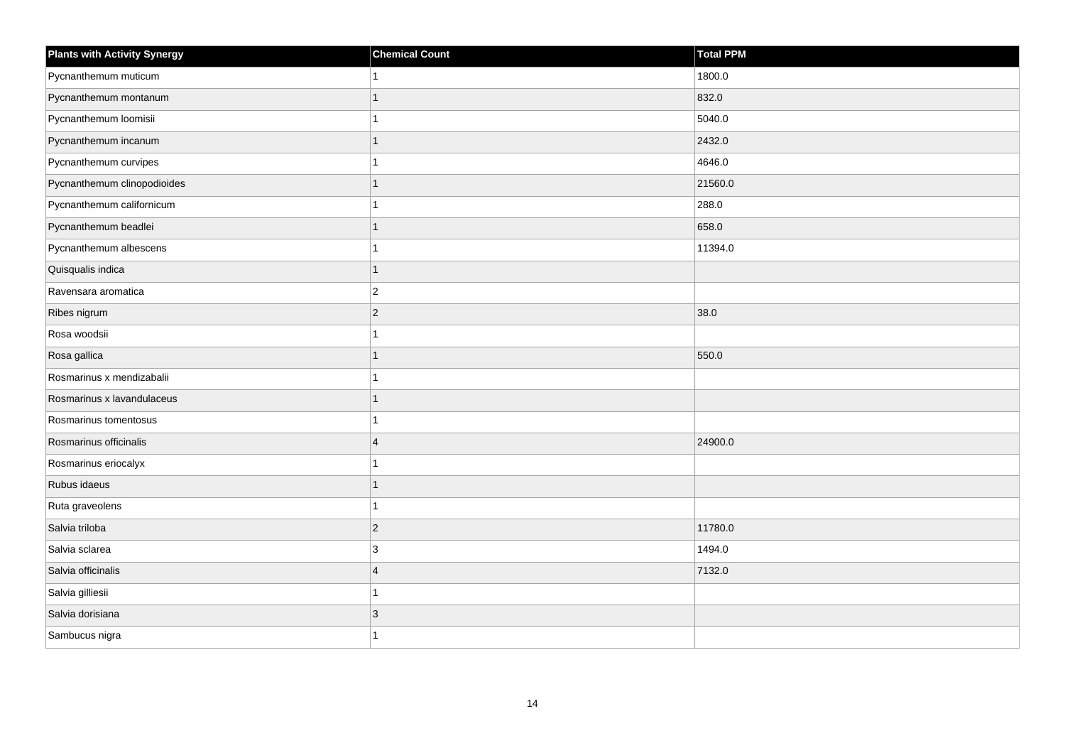| <b>Plants with Activity Synergy</b> | <b>Chemical Count</b>   | <b>Total PPM</b> |
|-------------------------------------|-------------------------|------------------|
| Pycnanthemum muticum                |                         | 1800.0           |
| Pycnanthemum montanum               |                         | 832.0            |
| Pycnanthemum loomisii               |                         | 5040.0           |
| Pycnanthemum incanum                |                         | 2432.0           |
| Pycnanthemum curvipes               |                         | 4646.0           |
| Pycnanthemum clinopodioides         |                         | 21560.0          |
| Pycnanthemum californicum           |                         | 288.0            |
| Pycnanthemum beadlei                |                         | 658.0            |
| Pycnanthemum albescens              |                         | 11394.0          |
| Quisqualis indica                   |                         |                  |
| Ravensara aromatica                 | $\overline{2}$          |                  |
| Ribes nigrum                        | $\overline{2}$          | 38.0             |
| Rosa woodsii                        |                         |                  |
| Rosa gallica                        |                         | 550.0            |
| Rosmarinus x mendizabalii           |                         |                  |
| Rosmarinus x lavandulaceus          |                         |                  |
| Rosmarinus tomentosus               |                         |                  |
| Rosmarinus officinalis              | $\boldsymbol{\Delta}$   | 24900.0          |
| Rosmarinus eriocalyx                |                         |                  |
| Rubus idaeus                        |                         |                  |
| Ruta graveolens                     |                         |                  |
| Salvia triloba                      | $\overline{2}$          | 11780.0          |
| Salvia sclarea                      | 3                       | 1494.0           |
| Salvia officinalis                  | $\overline{\mathbf{4}}$ | 7132.0           |
| Salvia gilliesii                    |                         |                  |
| Salvia dorisiana                    | 3                       |                  |
| Sambucus nigra                      |                         |                  |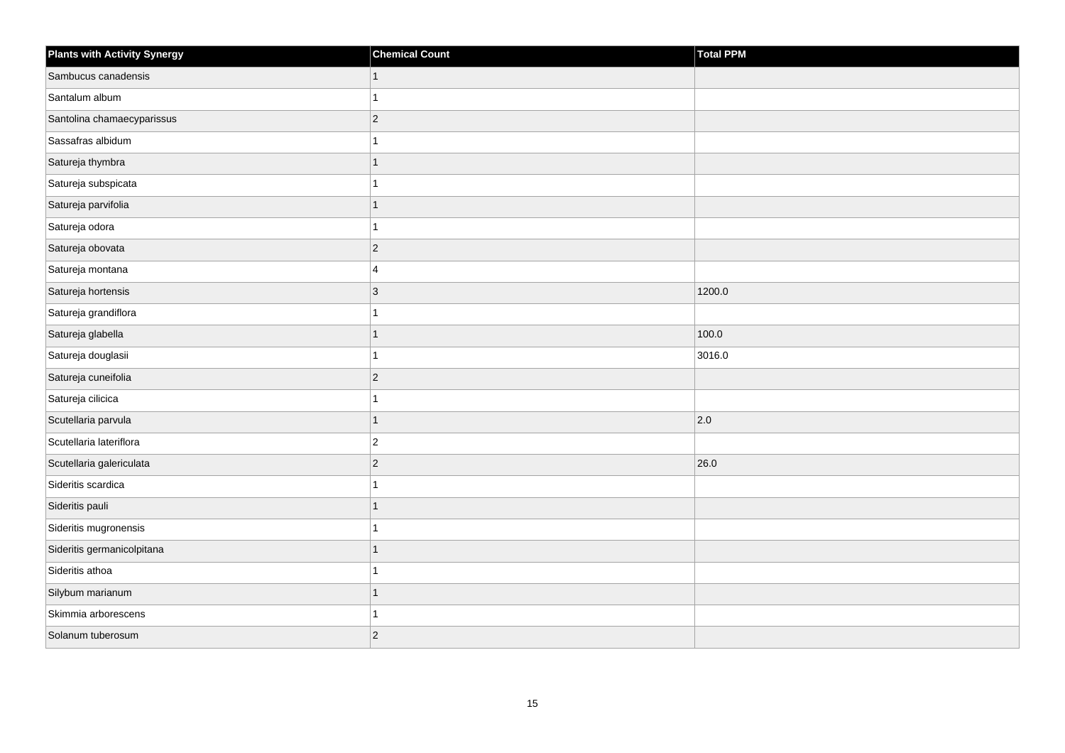| <b>Plants with Activity Synergy</b> | <b>Chemical Count</b>     | Total PPM   |
|-------------------------------------|---------------------------|-------------|
| Sambucus canadensis                 | 1                         |             |
| Santalum album                      | 1                         |             |
| Santolina chamaecyparissus          | $ 2\rangle$               |             |
| Sassafras albidum                   | 1                         |             |
| Satureja thymbra                    | 1                         |             |
| Satureja subspicata                 | 1                         |             |
| Satureja parvifolia                 | 1                         |             |
| Satureja odora                      | 1                         |             |
| Satureja obovata                    | $\vert$ 2                 |             |
| Satureja montana                    | 4                         |             |
| Satureja hortensis                  | $\ensuremath{\mathsf{3}}$ | 1200.0      |
| Satureja grandiflora                | 1                         |             |
| Satureja glabella                   | 1                         | 100.0       |
| Satureja douglasii                  | 1                         | 3016.0      |
| Satureja cuneifolia                 | $ 2\rangle$               |             |
| Satureja cilicica                   | 1                         |             |
| Scutellaria parvula                 | 1                         | $\vert$ 2.0 |
| Scutellaria lateriflora             | $ 2\rangle$               |             |
| Scutellaria galericulata            | $\vert$ 2                 | 26.0        |
| Sideritis scardica                  |                           |             |
| Sideritis pauli                     | 1                         |             |
| Sideritis mugronensis               | 1                         |             |
| Sideritis germanicolpitana          | 1                         |             |
| Sideritis athoa                     | 1                         |             |
| Silybum marianum                    | 1                         |             |
| Skimmia arborescens                 | 1                         |             |
| Solanum tuberosum                   | $\overline{c}$            |             |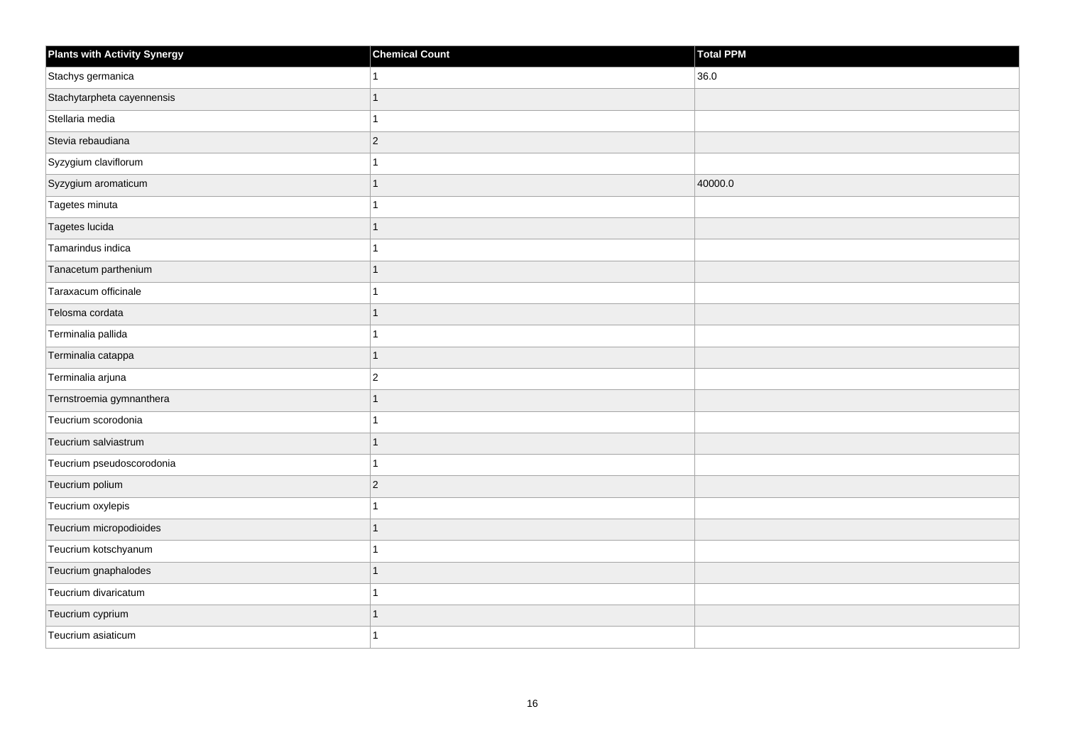| Plants with Activity Synergy | <b>Chemical Count</b>    | Total PPM |
|------------------------------|--------------------------|-----------|
| Stachys germanica            |                          | 36.0      |
| Stachytarpheta cayennensis   |                          |           |
| Stellaria media              | 1                        |           |
| Stevia rebaudiana            | $\overline{2}$           |           |
| Syzygium claviflorum         |                          |           |
| Syzygium aromaticum          | 1                        | 40000.0   |
| Tagetes minuta               |                          |           |
| Tagetes lucida               | 1                        |           |
| Tamarindus indica            |                          |           |
| Tanacetum parthenium         | $\overline{1}$           |           |
| Taraxacum officinale         |                          |           |
| Telosma cordata              |                          |           |
| Terminalia pallida           | 4                        |           |
| Terminalia catappa           | 1                        |           |
| Terminalia arjuna            | $\overline{2}$           |           |
| Ternstroemia gymnanthera     | $\overline{1}$           |           |
| Teucrium scorodonia          |                          |           |
| Teucrium salviastrum         | $\overline{\phantom{a}}$ |           |
| Teucrium pseudoscorodonia    | $\overline{1}$           |           |
| Teucrium polium              | $\overline{2}$           |           |
| Teucrium oxylepis            |                          |           |
| Teucrium micropodioides      | 1                        |           |
| Teucrium kotschyanum         |                          |           |
| Teucrium gnaphalodes         | 1                        |           |
| Teucrium divaricatum         | 1                        |           |
| Teucrium cyprium             |                          |           |
| Teucrium asiaticum           |                          |           |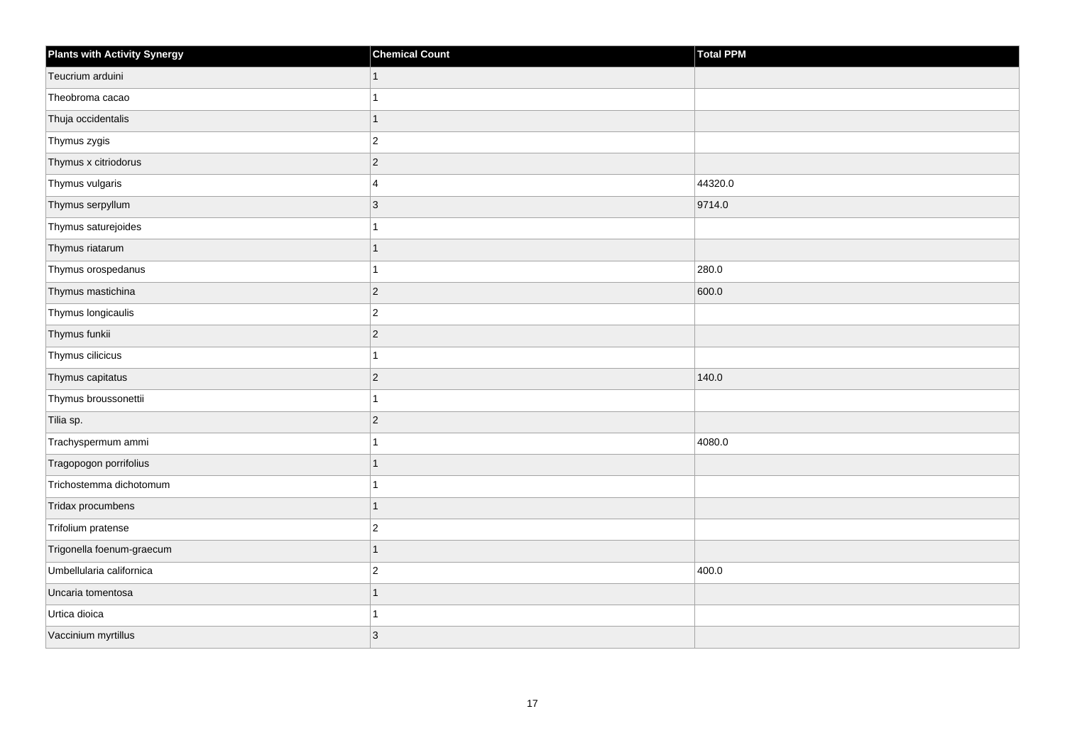| <b>Plants with Activity Synergy</b> | <b>Chemical Count</b> | <b>Total PPM</b> |
|-------------------------------------|-----------------------|------------------|
| Teucrium arduini                    |                       |                  |
| Theobroma cacao                     |                       |                  |
| Thuja occidentalis                  | 1                     |                  |
| Thymus zygis                        | $\overline{2}$        |                  |
| Thymus x citriodorus                | $\overline{2}$        |                  |
| Thymus vulgaris                     | 4                     | 44320.0          |
| Thymus serpyllum                    | $\overline{3}$        | 9714.0           |
| Thymus saturejoides                 |                       |                  |
| Thymus riatarum                     |                       |                  |
| Thymus orospedanus                  |                       | 280.0            |
| Thymus mastichina                   | $\overline{2}$        | 600.0            |
| Thymus longicaulis                  | $\overline{2}$        |                  |
| Thymus funkii                       | $\overline{2}$        |                  |
| Thymus cilicicus                    |                       |                  |
| Thymus capitatus                    | $\overline{c}$        | 140.0            |
| Thymus broussonettii                |                       |                  |
| Tilia sp.                           | $\overline{2}$        |                  |
| Trachyspermum ammi                  |                       | 4080.0           |
| Tragopogon porrifolius              | 1                     |                  |
| Trichostemma dichotomum             |                       |                  |
| Tridax procumbens                   |                       |                  |
| Trifolium pratense                  | $\overline{c}$        |                  |
| Trigonella foenum-graecum           |                       |                  |
| Umbellularia californica            | $\overline{2}$        | 400.0            |
| Uncaria tomentosa                   | 1                     |                  |
| Urtica dioica                       |                       |                  |
| Vaccinium myrtillus                 | 3                     |                  |